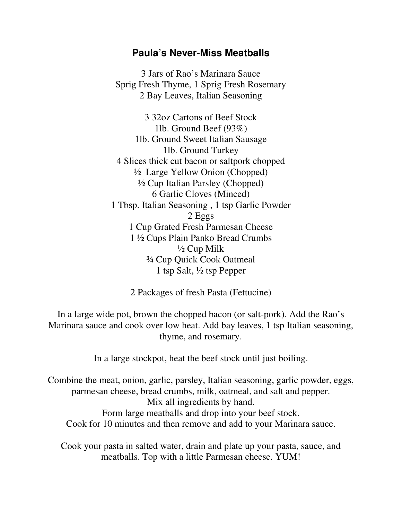## **Paula's Never-Miss Meatballs**

3 Jars of Rao's Marinara Sauce Sprig Fresh Thyme, 1 Sprig Fresh Rosemary 2 Bay Leaves, Italian Seasoning

3 32oz Cartons of Beef Stock 1lb. Ground Beef (93%) 1lb. Ground Sweet Italian Sausage 1lb. Ground Turkey 4 Slices thick cut bacon or saltpork chopped ½ Large Yellow Onion (Chopped) ½ Cup Italian Parsley (Chopped) 6 Garlic Cloves (Minced) 1 Tbsp. Italian Seasoning , 1 tsp Garlic Powder 2 Eggs 1 Cup Grated Fresh Parmesan Cheese 1 ½ Cups Plain Panko Bread Crumbs ½ Cup Milk ¾ Cup Quick Cook Oatmeal 1 tsp Salt, ½ tsp Pepper

2 Packages of fresh Pasta (Fettucine)

In a large wide pot, brown the chopped bacon (or salt-pork). Add the Rao's Marinara sauce and cook over low heat. Add bay leaves, 1 tsp Italian seasoning, thyme, and rosemary.

In a large stockpot, heat the beef stock until just boiling.

Combine the meat, onion, garlic, parsley, Italian seasoning, garlic powder, eggs, parmesan cheese, bread crumbs, milk, oatmeal, and salt and pepper. Mix all ingredients by hand. Form large meatballs and drop into your beef stock. Cook for 10 minutes and then remove and add to your Marinara sauce.

Cook your pasta in salted water, drain and plate up your pasta, sauce, and meatballs. Top with a little Parmesan cheese. YUM!